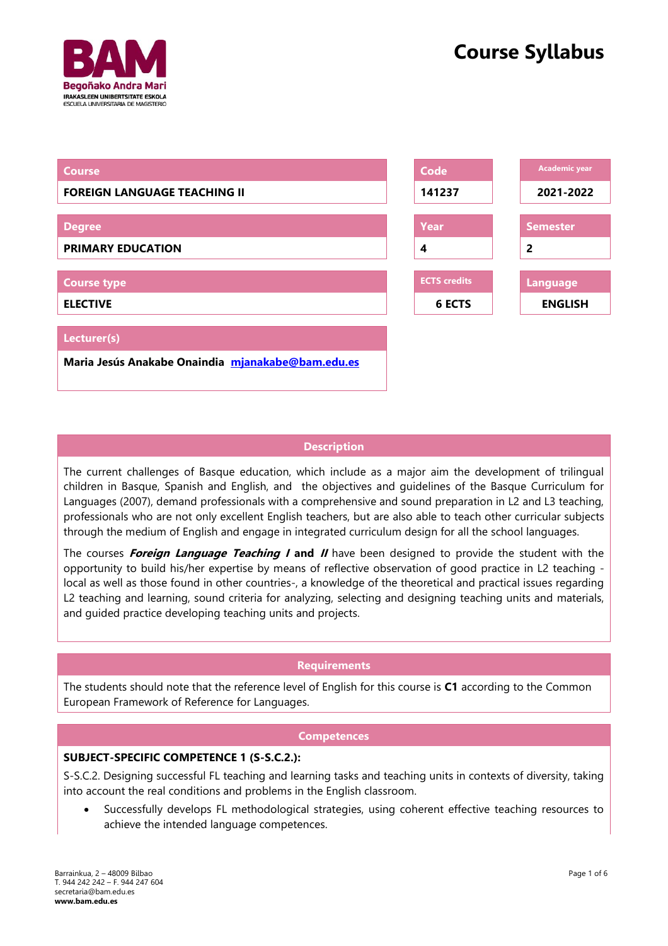



# **Description**

The current challenges of Basque education, which include as a major aim the development of trilingual children in Basque, Spanish and English, and the objectives and guidelines of the Basque Curriculum for Languages (2007), demand professionals with a comprehensive and sound preparation in L2 and L3 teaching, professionals who are not only excellent English teachers, but are also able to teach other curricular subjects through the medium of English and engage in integrated curriculum design for all the school languages.

The courses **Foreign Language Teaching I and II** have been designed to provide the student with the opportunity to build his/her expertise by means of reflective observation of good practice in L2 teaching local as well as those found in other countries-, a knowledge of the theoretical and practical issues regarding L2 teaching and learning, sound criteria for analyzing, selecting and designing teaching units and materials, and guided practice developing teaching units and projects.

# **Requirements**

The students should note that the reference level of English for this course is **C1** according to the Common European Framework of Reference for Languages.

# **Competences**

# **SUBJECT-SPECIFIC COMPETENCE 1 (S-S.C.2.):**

S-S.C.2. Designing successful FL teaching and learning tasks and teaching units in contexts of diversity, taking into account the real conditions and problems in the English classroom.

• Successfully develops FL methodological strategies, using coherent effective teaching resources to achieve the intended language competences.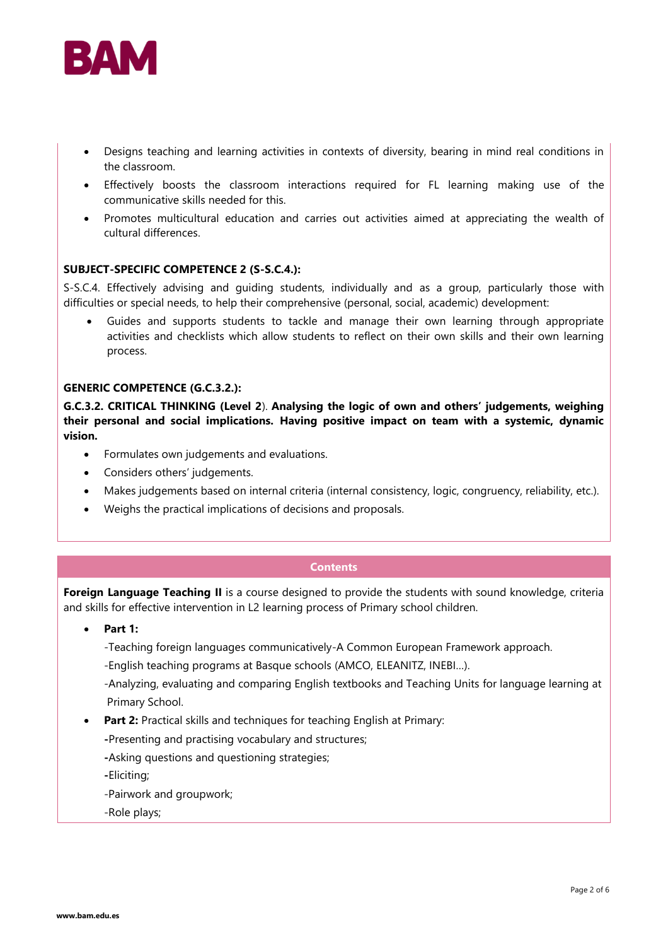

- Designs teaching and learning activities in contexts of diversity, bearing in mind real conditions in the classroom.
- Effectively boosts the classroom interactions required for FL learning making use of the communicative skills needed for this.
- Promotes multicultural education and carries out activities aimed at appreciating the wealth of cultural differences.

# **SUBJECT-SPECIFIC COMPETENCE 2 (S-S.C.4.):**

S-S.C.4. Effectively advising and guiding students, individually and as a group, particularly those with difficulties or special needs, to help their comprehensive (personal, social, academic) development:

• Guides and supports students to tackle and manage their own learning through appropriate activities and checklists which allow students to reflect on their own skills and their own learning process.

#### **GENERIC COMPETENCE (G.C.3.2.):**

**G.C.3.2. CRITICAL THINKING (Level 2**). **Analysing the logic of own and others' judgements, weighing their personal and social implications. Having positive impact on team with a systemic, dynamic vision.** 

- Formulates own judgements and evaluations.
- Considers others' judgements.
- Makes judgements based on internal criteria (internal consistency, logic, congruency, reliability, etc.).
- Weighs the practical implications of decisions and proposals.

# **Contents**

**Foreign Language Teaching II** is a course designed to provide the students with sound knowledge, criteria and skills for effective intervention in L2 learning process of Primary school children.

• **Part 1:**

-Teaching foreign languages communicatively-A Common European Framework approach.

-English teaching programs at Basque schools (AMCO, ELEANITZ, INEBI…).

-Analyzing, evaluating and comparing English textbooks and Teaching Units for language learning at Primary School.

- **Part 2:** Practical skills and techniques for teaching English at Primary:
	- **-**Presenting and practising vocabulary and structures;
	- **-**Asking questions and questioning strategies;

**-**Eliciting;

-Pairwork and groupwork;

-Role plays;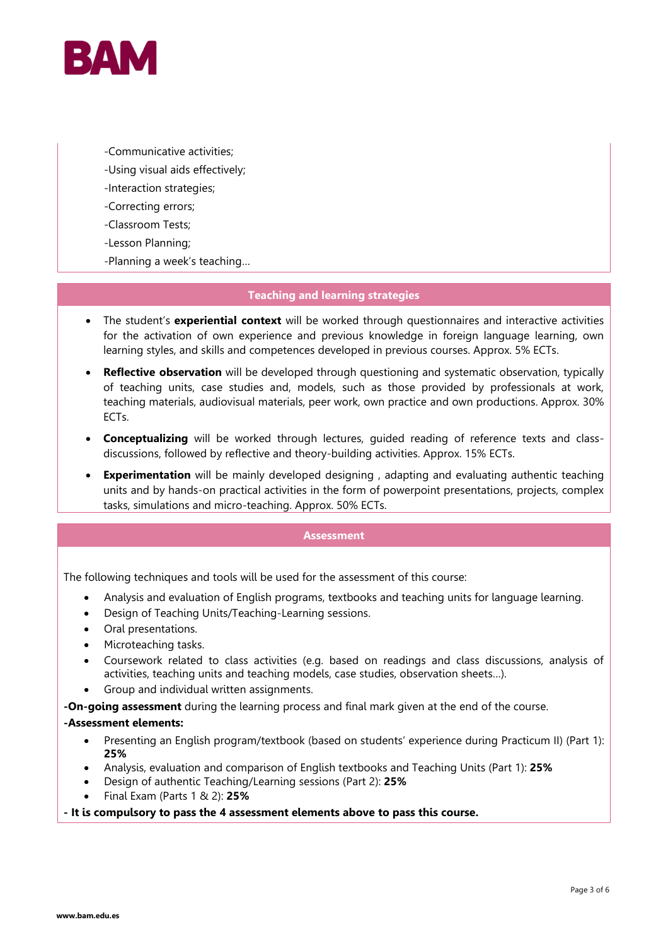

- -Communicative activities;
- -Using visual aids effectively;
- -Interaction strategies;
- -Correcting errors;
- -Classroom Tests;
- -Lesson Planning;
- -Planning a week's teaching…

# **Teaching and learning strategies**

- The student's **experiential context** will be worked through questionnaires and interactive activities for the activation of own experience and previous knowledge in foreign language learning, own learning styles, and skills and competences developed in previous courses. Approx. 5% ECTs.
- **Reflective observation** will be developed through questioning and systematic observation, typically of teaching units, case studies and, models, such as those provided by professionals at work, teaching materials, audiovisual materials, peer work, own practice and own productions. Approx. 30% ECTs.
- **Conceptualizing** will be worked through lectures, guided reading of reference texts and classdiscussions, followed by reflective and theory-building activities. Approx. 15% ECTs.
- **Experimentation** will be mainly developed designing, adapting and evaluating authentic teaching units and by hands-on practical activities in the form of powerpoint presentations, projects, complex tasks, simulations and micro-teaching. Approx. 50% ECTs.

#### **Assessment**

The following techniques and tools will be used for the assessment of this course:

- Analysis and evaluation of English programs, textbooks and teaching units for language learning.
- Design of Teaching Units/Teaching-Learning sessions.
- Oral presentations.
- Microteaching tasks.
- Coursework related to class activities (e.g. based on readings and class discussions, analysis of activities, teaching units and teaching models, case studies, observation sheets…).
- Group and individual written assignments.
- **-On-going assessment** during the learning process and final mark given at the end of the course.

# **-Assessment elements:**

- Presenting an English program/textbook (based on students' experience during Practicum II) (Part 1): **25%**
- Analysis, evaluation and comparison of English textbooks and Teaching Units (Part 1): **25%**
- Design of authentic Teaching/Learning sessions (Part 2): **25%**
- Final Exam (Parts 1 & 2): **25%**

# **- It is compulsory to pass the 4 assessment elements above to pass this course.**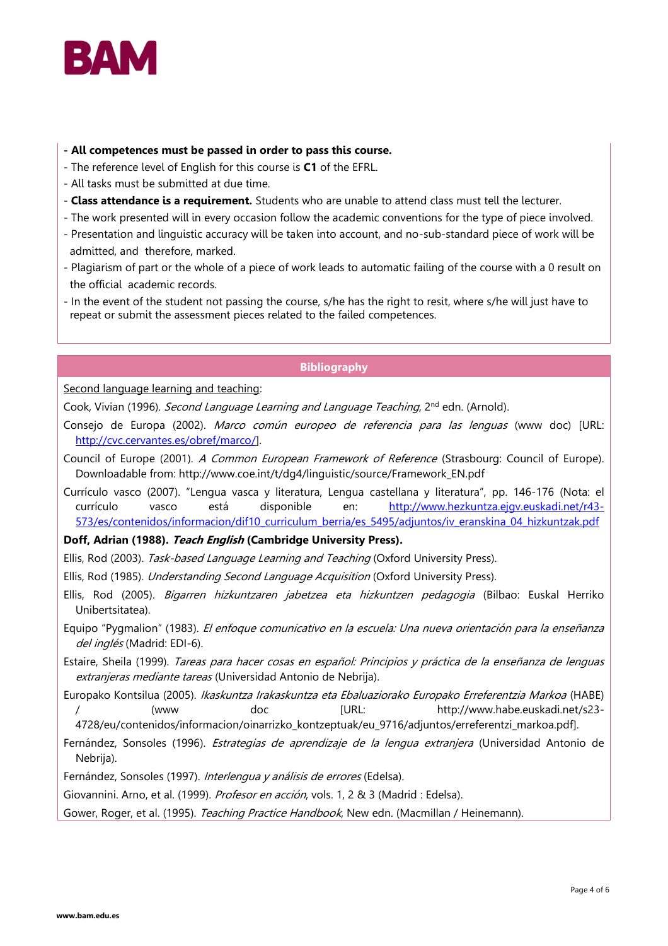

- **- All competences must be passed in order to pass this course.**
- The reference level of English for this course is **C1** of the EFRL.
- All tasks must be submitted at due time.
- **Class attendance is a requirement.** Students who are unable to attend class must tell the lecturer.
- The work presented will in every occasion follow the academic conventions for the type of piece involved.
- Presentation and linguistic accuracy will be taken into account, and no-sub-standard piece of work will be admitted, and therefore, marked.
- Plagiarism of part or the whole of a piece of work leads to automatic failing of the course with a 0 result on the official academic records.
- In the event of the student not passing the course, s/he has the right to resit, where s/he will just have to repeat or submit the assessment pieces related to the failed competences.

# **Bibliography**

Second language learning and teaching:

Cook, Vivian (1996). *Second Language Learning and Language Teaching*, 2<sup>nd</sup> edn. (Arnold).

- Consejo de Europa (2002). Marco común europeo de referencia para las lenguas (www doc) [URL: [http://cvc.cervantes.es/obref/marco/\]](http://cvc.cervantes.es/obref/marco/).
- Council of Europe (2001). A Common European Framework of Reference (Strasbourg: Council of Europe). Downloadable from: http://www.coe.int/t/dg4/linguistic/source/Framework\_EN.pdf
- Currículo vasco (2007). "Lengua vasca y literatura, Lengua castellana y literatura", pp. 146-176 (Nota: el currículo vasco está disponible en: [http://www.hezkuntza.ejgv.euskadi.net/r43-](http://www.hezkuntza.ejgv.euskadi.net/r43-573/es/contenidos/informacion/dif10_curriculum_berria/es_5495/adjuntos/iv_eranskina_04_hizkuntzak.pdf) [573/es/contenidos/informacion/dif10\\_curriculum\\_berria/es\\_5495/adjuntos/iv\\_eranskina\\_04\\_hizkuntzak.pdf](http://www.hezkuntza.ejgv.euskadi.net/r43-573/es/contenidos/informacion/dif10_curriculum_berria/es_5495/adjuntos/iv_eranskina_04_hizkuntzak.pdf)

# **Doff, Adrian (1988). Teach English (Cambridge University Press).**

Ellis, Rod (2003). Task-based Language Learning and Teaching (Oxford University Press).

Ellis, Rod (1985). Understanding Second Language Acquisition (Oxford University Press).

- Ellis, Rod (2005). Bigarren hizkuntzaren jabetzea eta hizkuntzen pedagogia (Bilbao: Euskal Herriko Unibertsitatea).
- Equipo "Pygmalion" (1983). El enfoque comunicativo en la escuela: Una nueva orientación para la enseñanza del inglés (Madrid: EDI-6).
- Estaire, Sheila (1999). Tareas para hacer cosas en español: Principios y práctica de la enseñanza de lenguas extranjeras mediante tareas (Universidad Antonio de Nebrija).
- Europako Kontsilua (2005). Ikaskuntza Irakaskuntza eta Ebaluaziorako Europako Erreferentzia Markoa (HABE) / (www doc [URL: http://www.habe.euskadi.net/s23-

4728/eu/contenidos/informacion/oinarrizko\_kontzeptuak/eu\_9716/adjuntos/erreferentzi\_markoa.pdf].

Fernández, Sonsoles (1996). Estrategias de aprendizaje de la lengua extranjera (Universidad Antonio de Nebrija).

Fernández, Sonsoles (1997). Interlengua y análisis de errores (Edelsa).

Giovannini. Arno, et al. (1999). *Profesor en acción*, vols. 1, 2 & 3 (Madrid : Edelsa).

Gower, Roger, et al. (1995). Teaching Practice Handbook, New edn. (Macmillan / Heinemann).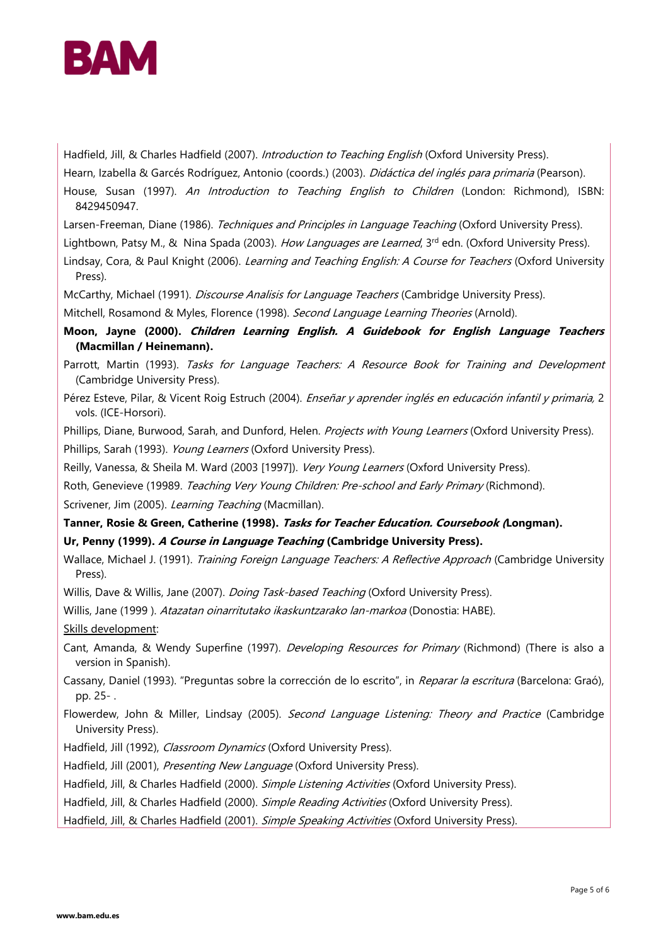

Hadfield, Jill, & Charles Hadfield (2007). Introduction to Teaching English (Oxford University Press).

Hearn, Izabella & Garcés Rodríguez, Antonio (coords.) (2003). *Didáctica del inglés para primaria* (Pearson).

House, Susan (1997). An Introduction to Teaching English to Children (London: Richmond), ISBN: 8429450947.

Larsen-Freeman, Diane (1986). Techniques and Principles in Language Teaching (Oxford University Press).

Lightbown, Patsy M., & Nina Spada (2003). How Languages are Learned, 3rd edn. (Oxford University Press).

Lindsay, Cora, & Paul Knight (2006). Learning and Teaching English: A Course for Teachers (Oxford University Press).

McCarthy, Michael (1991). *Discourse Analisis for Language Teachers* (Cambridge University Press).

Mitchell, Rosamond & Myles, Florence (1998). Second Language Learning Theories (Arnold).

**Moon, Jayne (2000). Children Learning English. A Guidebook for English Language Teachers (Macmillan / Heinemann).**

Parrott, Martin (1993). Tasks for Language Teachers: A Resource Book for Training and Development (Cambridge University Press).

Pérez Esteve, Pilar, & Vicent Roig Estruch (2004). Enseñar y aprender inglés en educación infantil y primaria, 2 vols. (ICE-Horsori).

Phillips, Diane, Burwood, Sarah, and Dunford, Helen. *Projects with Young Learners* (Oxford University Press). Phillips, Sarah (1993). Young Learners (Oxford University Press).

Reilly, Vanessa, & Sheila M. Ward (2003 [1997]). Very Young Learners (Oxford University Press).

Roth, Genevieve (19989. Teaching Very Young Children: Pre-school and Early Primary (Richmond). Scrivener, Jim (2005). Learning Teaching (Macmillan).

# **Tanner, Rosie & Green, Catherine (1998). Tasks for Teacher Education. Coursebook (Longman).**

# **Ur, Penny (1999). A Course in Language Teaching (Cambridge University Press).**

Wallace, Michael J. (1991). Training Foreign Language Teachers: A Reflective Approach (Cambridge University Press).

Willis, Dave & Willis, Jane (2007). *Doing Task-based Teaching* (Oxford University Press).

Willis, Jane (1999 ). Atazatan oinarritutako ikaskuntzarako lan-markoa (Donostia: HABE).

Skills development:

- Cant, Amanda, & Wendy Superfine (1997). *Developing Resources for Primary* (Richmond) (There is also a version in Spanish).
- Cassany, Daniel (1993). "Preguntas sobre la corrección de lo escrito", in Reparar la escritura (Barcelona: Graó), pp. 25- .
- Flowerdew, John & Miller, Lindsay (2005). Second Language Listening: Theory and Practice (Cambridge University Press).
- Hadfield, Jill (1992), Classroom Dynamics (Oxford University Press).
- Hadfield, Jill (2001), Presenting New Language (Oxford University Press).
- Hadfield, Jill, & Charles Hadfield (2000). Simple Listening Activities (Oxford University Press).
- Hadfield, Jill, & Charles Hadfield (2000). Simple Reading Activities (Oxford University Press).

Hadfield, Jill, & Charles Hadfield (2001). Simple Speaking Activities (Oxford University Press).